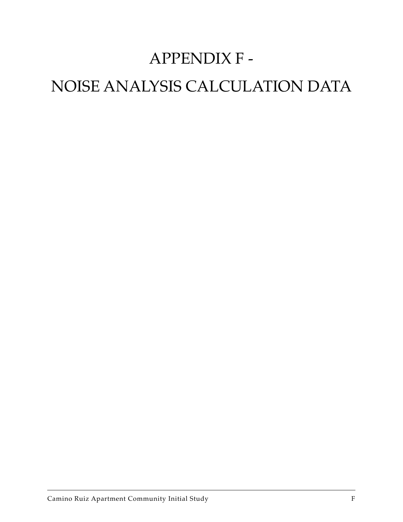# APPENDIX F -

# NOISE ANALYSIS CALCULATION DATA

Camino Ruiz Apartment Community Initial Study F